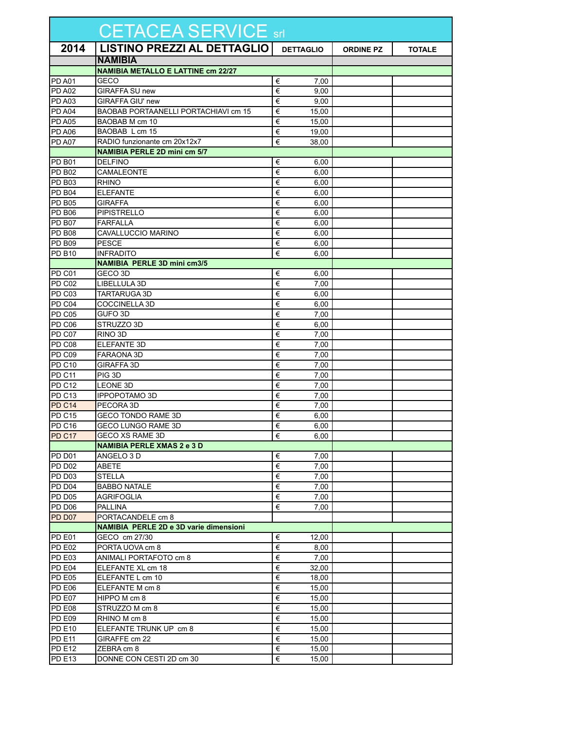| CETACEA SERVICE srl |                                               |                  |                  |               |  |  |  |
|---------------------|-----------------------------------------------|------------------|------------------|---------------|--|--|--|
| 2014                | <b>LISTINO PREZZI AL DETTAGLIO</b>            | <b>DETTAGLIO</b> | <b>ORDINE PZ</b> | <b>TOTALE</b> |  |  |  |
|                     | <b>NAMIBIA</b>                                |                  |                  |               |  |  |  |
|                     | <b>NAMIBIA METALLO E LATTINE cm 22/27</b>     |                  |                  |               |  |  |  |
| <b>PD A01</b>       | GECO                                          | €<br>7,00        |                  |               |  |  |  |
| <b>PD A02</b>       | <b>GIRAFFA SU new</b>                         | €<br>9,00        |                  |               |  |  |  |
| <b>PD A03</b>       | <b>GIRAFFA GIU' new</b>                       | €<br>9,00        |                  |               |  |  |  |
| <b>PD A04</b>       | BAOBAB PORTAANELLI PORTACHIAVI cm 15          | €<br>15.00       |                  |               |  |  |  |
| <b>PD A05</b>       | BAOBAB M cm 10                                | €<br>15,00       |                  |               |  |  |  |
| <b>PD A06</b>       | BAOBAB L cm 15                                | €<br>19,00       |                  |               |  |  |  |
| PD A07              | RADIO funzionante cm 20x12x7                  | €<br>38.00       |                  |               |  |  |  |
|                     | <b>NAMIBIA PERLE 2D mini cm 5/7</b>           |                  |                  |               |  |  |  |
| <b>PD B01</b>       | <b>DELFINO</b>                                | €<br>6,00        |                  |               |  |  |  |
| <b>PD B02</b>       | CAMALEONTE                                    | €<br>6,00        |                  |               |  |  |  |
| <b>PD B03</b>       | <b>RHINO</b>                                  | €<br>6,00        |                  |               |  |  |  |
| <b>PD B04</b>       | <b>ELEFANTE</b>                               | €<br>6,00        |                  |               |  |  |  |
| <b>PD B05</b>       | <b>GIRAFFA</b>                                | €<br>6,00        |                  |               |  |  |  |
| PD B06              | <b>PIPISTRELLO</b>                            | €<br>6,00        |                  |               |  |  |  |
| <b>PD B07</b>       | <b>FARFALLA</b>                               | €<br>6,00        |                  |               |  |  |  |
| <b>PD B08</b>       | CAVALLUCCIO MARINO                            | €<br>6,00        |                  |               |  |  |  |
| <b>PD B09</b>       | <b>PESCE</b>                                  | €<br>6,00        |                  |               |  |  |  |
| <b>PD B10</b>       | <b>INFRADITO</b>                              | €<br>6,00        |                  |               |  |  |  |
|                     | <b>NAMIBIA PERLE 3D mini cm3/5</b>            |                  |                  |               |  |  |  |
| PD C01              | GECO 3D                                       | €<br>6,00        |                  |               |  |  |  |
| PD C02              | LIBELLULA 3D                                  | €<br>7,00        |                  |               |  |  |  |
| PD <sub>C03</sub>   | <b>TARTARUGA 3D</b>                           | €<br>6,00        |                  |               |  |  |  |
| PD C04              | <b>COCCINELLA 3D</b>                          | €<br>6,00        |                  |               |  |  |  |
| PD C05              | GUFO 3D                                       | €<br>7,00        |                  |               |  |  |  |
| PD C06              | STRUZZO 3D                                    | €<br>6,00        |                  |               |  |  |  |
| PD C07              | RINO 3D                                       | €<br>7,00        |                  |               |  |  |  |
| PD C08              | <b>ELEFANTE 3D</b>                            | €<br>7,00        |                  |               |  |  |  |
| PD C09              | FARAONA 3D                                    | €<br>7,00        |                  |               |  |  |  |
| <b>PD C10</b>       | GIRAFFA 3D                                    | €<br>7,00        |                  |               |  |  |  |
| PD C11              | PIG 3D                                        | €<br>7,00        |                  |               |  |  |  |
| PD <sub>C12</sub>   | LEONE 3D                                      | €<br>7,00        |                  |               |  |  |  |
| PD <sub>C13</sub>   | <b>IPPOPOTAMO 3D</b>                          | €<br>7,00        |                  |               |  |  |  |
| PD C14              | PECORA 3D                                     | €<br>7,00        |                  |               |  |  |  |
| <b>PD C15</b>       | <b>GECO TONDO RAME 3D</b>                     | €<br>6,00        |                  |               |  |  |  |
| PD C <sub>16</sub>  | GECO LUNGO RAME 3D                            | €<br>6,00        |                  |               |  |  |  |
| PD C17              | GECO XS RAME 3D                               | €<br>6,00        |                  |               |  |  |  |
|                     | <b>NAMIBIA PERLE XMAS 2 e 3 D</b>             |                  |                  |               |  |  |  |
| PD D01              | ANGELO 3 D                                    | €<br>7,00        |                  |               |  |  |  |
| <b>PD D02</b>       | ABETE                                         | €<br>7,00        |                  |               |  |  |  |
| PD D03              | STELLA                                        | €<br>7,00        |                  |               |  |  |  |
| PD D04              | <b>BABBO NATALE</b>                           | €<br>7,00        |                  |               |  |  |  |
| <b>PD D05</b>       | <b>AGRIFOGLIA</b>                             | €<br>7,00        |                  |               |  |  |  |
| PD D <sub>06</sub>  | <b>PALLINA</b>                                | €<br>7,00        |                  |               |  |  |  |
| PD D07              | PORTACANDELE cm 8                             |                  |                  |               |  |  |  |
|                     | <b>NAMIBIA PERLE 2D e 3D varie dimensioni</b> |                  |                  |               |  |  |  |
| PD <sub>E01</sub>   | GECO cm 27/30                                 | €<br>12,00       |                  |               |  |  |  |
| <b>PD E02</b>       | PORTA UOVA cm 8                               | €<br>8,00        |                  |               |  |  |  |
| <b>PD E03</b>       | ANIMALI PORTAFOTO cm 8                        | €<br>7,00        |                  |               |  |  |  |
| PD E04              | ELEFANTE XL cm 18                             | €<br>32,00       |                  |               |  |  |  |
| <b>PD E05</b>       | ELEFANTE L cm 10                              | €<br>18,00       |                  |               |  |  |  |
| <b>PD E06</b>       | ELEFANTE M cm 8                               | €<br>15,00       |                  |               |  |  |  |
| PD E07              | HIPPO M cm 8                                  | €<br>15,00       |                  |               |  |  |  |
| <b>PD E08</b>       | STRUZZO M cm 8                                | €<br>15,00       |                  |               |  |  |  |
| <b>PD E09</b>       | RHINO M cm 8                                  | €<br>15,00       |                  |               |  |  |  |
| <b>PD E10</b>       | ELEFANTE TRUNK UP cm 8                        | €<br>15,00       |                  |               |  |  |  |
| <b>PD E11</b>       | GIRAFFE cm 22                                 | €<br>15,00       |                  |               |  |  |  |
| <b>PD E12</b>       | ZEBRA cm 8                                    | €<br>15,00       |                  |               |  |  |  |
| <b>PD E13</b>       | DONNE CON CESTI 2D cm 30                      | $\in$<br>15,00   |                  |               |  |  |  |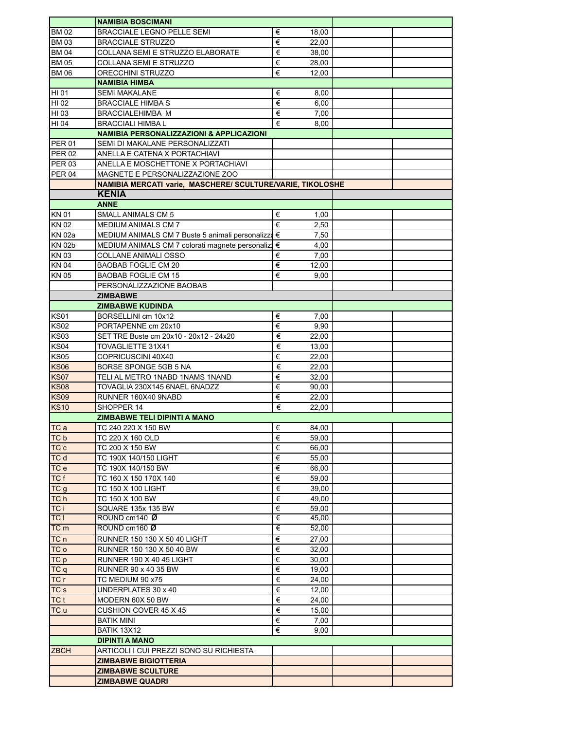|                 | <b>NAMIBIA BOSCIMANI</b>                                   |   |       |  |  |  |  |
|-----------------|------------------------------------------------------------|---|-------|--|--|--|--|
| <b>BM02</b>     | <b>BRACCIALE LEGNO PELLE SEMI</b>                          | € | 18,00 |  |  |  |  |
| <b>BM03</b>     | <b>BRACCIALE STRUZZO</b>                                   | € | 22,00 |  |  |  |  |
| <b>BM04</b>     | COLLANA SEMI E STRUZZO ELABORATE                           | € | 38,00 |  |  |  |  |
| <b>BM05</b>     | COLLANA SEMI E STRUZZO                                     | € | 28,00 |  |  |  |  |
| <b>BM 06</b>    | ORECCHINI STRUZZO                                          | € | 12,00 |  |  |  |  |
|                 | <b>NAMIBIA HIMBA</b>                                       |   |       |  |  |  |  |
| HI 01           | <b>SEMI MAKALANE</b>                                       | € | 8,00  |  |  |  |  |
| HI 02           | BRACCIALE HIMBA S                                          | € | 6,00  |  |  |  |  |
| HI 03           | <b>BRACCIALEHIMBA M</b>                                    | € | 7,00  |  |  |  |  |
| HI 04           | <b>BRACCIALI HIMBAL</b>                                    | € | 8,00  |  |  |  |  |
|                 | <b>NAMIBIA PERSONALIZZAZIONI &amp; APPLICAZIONI</b>        |   |       |  |  |  |  |
| <b>PER 01</b>   | SEMI DI MAKALANE PERSONALIZZATI                            |   |       |  |  |  |  |
| <b>PER 02</b>   | ANELLA E CATENA X PORTACHIAVI                              |   |       |  |  |  |  |
| <b>PER 03</b>   | ANELLA E MOSCHETTONE X PORTACHIAVI                         |   |       |  |  |  |  |
| <b>PER 04</b>   | MAGNETE E PERSONALIZZAZIONE ZOO                            |   |       |  |  |  |  |
|                 | NAMIBIA MERCATI varie, MASCHERE/ SCULTURE/VARIE, TIKOLOSHE |   |       |  |  |  |  |
|                 | <b>KENIA</b>                                               |   |       |  |  |  |  |
|                 | <b>ANNE</b>                                                |   |       |  |  |  |  |
| KN 01           | <b>SMALL ANIMALS CM 5</b>                                  | € | 1,00  |  |  |  |  |
| <b>KN02</b>     | MEDIUM ANIMALS CM 7                                        | € | 2,50  |  |  |  |  |
| <b>KN 02a</b>   | MEDIUM ANIMALS CM 7 Buste 5 animali personalizza €         |   | 7,50  |  |  |  |  |
| <b>KN 02b</b>   | MEDIUM ANIMALS CM 7 colorati magnete personalizi €         |   | 4,00  |  |  |  |  |
| <b>KN03</b>     | <b>COLLANE ANIMALI OSSO</b>                                | € | 7,00  |  |  |  |  |
| <b>KN04</b>     | <b>BAOBAB FOGLIE CM 20</b>                                 | € | 12,00 |  |  |  |  |
| <b>KN05</b>     | <b>BAOBAB FOGLIE CM 15</b>                                 | € | 9,00  |  |  |  |  |
|                 | PERSONALIZZAZIONE BAOBAB                                   |   |       |  |  |  |  |
|                 | <b>ZIMBABWE</b>                                            |   |       |  |  |  |  |
|                 | <b>ZIMBABWE KUDINDA</b>                                    |   |       |  |  |  |  |
| <b>KS01</b>     | BORSELLINI cm 10x12                                        | € | 7,00  |  |  |  |  |
| <b>KS02</b>     | PORTAPENNE cm 20x10                                        | € | 9,90  |  |  |  |  |
| KSO3            | SET TRE Buste cm 20x10 - 20x12 - 24x20                     | € | 22,00 |  |  |  |  |
| <b>KS04</b>     | TOVAGLIETTE 31X41                                          | € | 13,00 |  |  |  |  |
| <b>KS05</b>     | COPRICUSCINI 40X40                                         | € | 22,00 |  |  |  |  |
| <b>KS06</b>     | BORSE SPONGE 5GB 5 NA                                      | € | 22,00 |  |  |  |  |
| <b>KS07</b>     | TELI AL METRO 1NABD 1NAMS 1NAND                            | € | 32,00 |  |  |  |  |
| <b>KS08</b>     | TOVAGLIA 230X145 6NAEL 6NADZZ                              | € | 90,00 |  |  |  |  |
| <b>KS09</b>     | RUNNER 160X40 9NABD                                        | € | 22,00 |  |  |  |  |
| <b>KS10</b>     | SHOPPER 14                                                 | € | 22,00 |  |  |  |  |
|                 | <b>ZIMBABWE TELI DIPINTI A MANO</b>                        |   |       |  |  |  |  |
| <b>ITC</b> a    | TC 240 220 X 150 BW                                        | € | 84,00 |  |  |  |  |
| TC b            | TC 220 X 160 OLD                                           | € | 59,00 |  |  |  |  |
| TC c            | TC 200 X 150 BW                                            | € | 66,00 |  |  |  |  |
| TC d            | TC 190X 140/150 LIGHT                                      | € | 55,00 |  |  |  |  |
| TC e            | TC 190X 140/150 BW                                         | € | 66,00 |  |  |  |  |
| TC f            | TC 160 X 150 170X 140                                      | € | 59,00 |  |  |  |  |
| TCg             | TC 150 X 100 LIGHT                                         | € | 39,00 |  |  |  |  |
| TC h            | TC 150 X 100 BW                                            | € | 49,00 |  |  |  |  |
| TC i            | SQUARE 135x 135 BW                                         | € | 59,00 |  |  |  |  |
| <b>TCI</b>      | ROUND cm140 Ø                                              | € | 45,00 |  |  |  |  |
| TC m            | ROUND cm160 Ø                                              | € | 52.00 |  |  |  |  |
| TC n            | RUNNER 150 130 X 50 40 LIGHT                               | € | 27,00 |  |  |  |  |
| TC o            | RUNNER 150 130 X 50 40 BW                                  | € | 32,00 |  |  |  |  |
| TC p            | <b>RUNNER 190 X 40 45 LIGHT</b>                            | € | 30,00 |  |  |  |  |
| TCq             | <b>RUNNER 90 x 40 35 BW</b>                                | € | 19,00 |  |  |  |  |
| TC r            | TC MEDIUM 90 x75                                           | € | 24,00 |  |  |  |  |
| TC <sub>s</sub> | UNDERPLATES 30 x 40                                        | € | 12,00 |  |  |  |  |
| <b>TC</b> t     | MODERN 60X 50 BW                                           | € | 24,00 |  |  |  |  |
| TC u            | <b>CUSHION COVER 45 X 45</b>                               | € | 15,00 |  |  |  |  |
|                 | <b>BATIK MINI</b>                                          | € | 7,00  |  |  |  |  |
|                 | <b>BATIK 13X12</b>                                         | € | 9,00  |  |  |  |  |
|                 | <b>DIPINTI A MANO</b>                                      |   |       |  |  |  |  |
| <b>ZBCH</b>     | ARTICOLI I CUI PREZZI SONO SU RICHIESTA                    |   |       |  |  |  |  |
|                 | <b>ZIMBABWE BIGIOTTERIA</b>                                |   |       |  |  |  |  |
|                 | <b>ZIMBABWE SCULTURE</b>                                   |   |       |  |  |  |  |
|                 | <b>ZIMBABWE QUADRI</b>                                     |   |       |  |  |  |  |